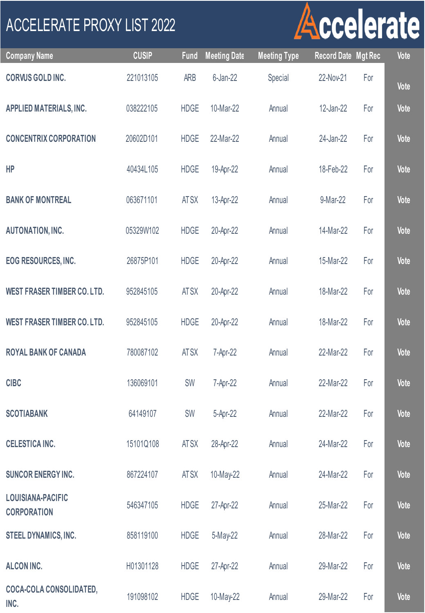## ACCELERATE PROXY LIST 2022

## Accelerate

| <b>Company Name</b>                            | <b>CUSIP</b> | <b>Fund</b> | <b>Meeting Date</b> | <b>Meeting Type</b> | <b>Record Date Mgt Rec</b> |     | Vote        |
|------------------------------------------------|--------------|-------------|---------------------|---------------------|----------------------------|-----|-------------|
| <b>CORVUS GOLD INC.</b>                        | 221013105    | <b>ARB</b>  | $6$ -Jan-22         | Special             | 22-Nov-21                  | For | Vote        |
| APPLIED MATERIALS, INC.                        | 038222105    | <b>HDGE</b> | 10-Mar-22           | Annual              | 12-Jan-22                  | For | Vote        |
| <b>CONCENTRIX CORPORATION</b>                  | 20602D101    | <b>HDGE</b> | 22-Mar-22           | Annual              | 24-Jan-22                  | For | Vote        |
| HP                                             | 40434L105    | <b>HDGE</b> | 19-Apr-22           | Annual              | 18-Feb-22                  | For | Vote        |
| <b>BANK OF MONTREAL</b>                        | 063671101    | <b>ATSX</b> | 13-Apr-22           | Annual              | 9-Mar-22                   | For | Vote        |
| <b>AUTONATION, INC.</b>                        | 05329W102    | <b>HDGE</b> | 20-Apr-22           | Annual              | 14-Mar-22                  | For | Vote        |
| <b>EOG RESOURCES, INC.</b>                     | 26875P101    | <b>HDGE</b> | 20-Apr-22           | Annual              | 15-Mar-22                  | For | Vote        |
| <b>WEST FRASER TIMBER CO. LTD.</b>             | 952845105    | <b>ATSX</b> | 20-Apr-22           | Annual              | 18-Mar-22                  | For | Vote        |
| <b>WEST FRASER TIMBER CO. LTD.</b>             | 952845105    | <b>HDGE</b> | 20-Apr-22           | Annual              | 18-Mar-22                  | For | Vote        |
| <b>ROYAL BANK OF CANADA</b>                    | 780087102    | <b>ATSX</b> | 7-Apr-22            | Annual              | 22-Mar-22                  | For | <b>Vote</b> |
| <b>CIBC</b>                                    | 136069101    | <b>SW</b>   | 7-Apr-22            | Annual              | 22-Mar-22                  | For | <b>Vote</b> |
| <b>SCOTIABANK</b>                              | 64149107     | SW          | 5-Apr-22            | Annual              | 22-Mar-22                  | For | Vote        |
| <b>CELESTICA INC.</b>                          | 15101Q108    | <b>ATSX</b> | 28-Apr-22           | Annual              | 24-Mar-22                  | For | Vote        |
| <b>SUNCOR ENERGY INC.</b>                      | 867224107    | <b>ATSX</b> | 10-May-22           | Annual              | 24-Mar-22                  | For | Vote        |
| <b>LOUISIANA-PACIFIC</b><br><b>CORPORATION</b> | 546347105    | <b>HDGE</b> | 27-Apr-22           | Annual              | 25-Mar-22                  | For | Vote        |
| STEEL DYNAMICS, INC.                           | 858119100    | <b>HDGE</b> | 5-May-22            | Annual              | 28-Mar-22                  | For | Vote        |
| <b>ALCON INC.</b>                              | H01301128    | <b>HDGE</b> | 27-Apr-22           | Annual              | 29-Mar-22                  | For | Vote        |
| <b>COCA-COLA CONSOLIDATED,</b><br>INC.         | 191098102    | <b>HDGE</b> | 10-May-22           | Annual              | 29-Mar-22                  | For | Vote        |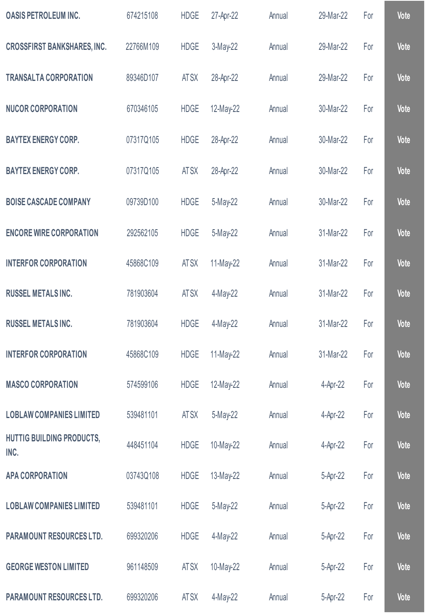| <b>OASIS PETROLEUM INC.</b>              | 674215108 | <b>HDGE</b> | 27-Apr-22   | Annual | 29-Mar-22 | For | Vote |
|------------------------------------------|-----------|-------------|-------------|--------|-----------|-----|------|
| <b>CROSSFIRST BANKSHARES, INC.</b>       | 22766M109 | <b>HDGE</b> | $3-May-22$  | Annual | 29-Mar-22 | For | Vote |
| <b>TRANSALTA CORPORATION</b>             | 89346D107 | AT SX       | 28-Apr-22   | Annual | 29-Mar-22 | For | Vote |
| <b>NUCOR CORPORATION</b>                 | 670346105 | <b>HDGE</b> | 12-May-22   | Annual | 30-Mar-22 | For | Vote |
| <b>BAYTEX ENERGY CORP.</b>               | 07317Q105 | <b>HDGE</b> | 28-Apr-22   | Annual | 30-Mar-22 | For | Vote |
| <b>BAYTEX ENERGY CORP.</b>               | 07317Q105 | <b>ATSX</b> | 28-Apr-22   | Annual | 30-Mar-22 | For | Vote |
| <b>BOISE CASCADE COMPANY</b>             | 09739D100 | <b>HDGE</b> | 5-May-22    | Annual | 30-Mar-22 | For | Vote |
| <b>ENCORE WIRE CORPORATION</b>           | 292562105 | <b>HDGE</b> | $5-May-22$  | Annual | 31-Mar-22 | For | Vote |
| <b>INTERFOR CORPORATION</b>              | 45868C109 | AT SX       | $11-May-22$ | Annual | 31-Mar-22 | For | Vote |
| <b>RUSSEL METALS INC.</b>                | 781903604 | <b>ATSX</b> | 4-May-22    | Annual | 31-Mar-22 | For | Vote |
| <b>RUSSEL METALS INC.</b>                | 781903604 | <b>HDGE</b> | 4-May-22    | Annual | 31-Mar-22 | For | Vote |
| <b>INTERFOR CORPORATION</b>              | 45868C109 | <b>HDGE</b> | 11-May-22   | Annual | 31-Mar-22 | For | Vote |
| <b>MASCO CORPORATION</b>                 | 574599106 | <b>HDGE</b> | 12-May-22   | Annual | 4-Apr-22  | For | Vote |
| <b>LOBLAW COMPANIES LIMITED</b>          | 539481101 | AT SX       | 5-May-22    | Annual | 4-Apr-22  | For | Vote |
| <b>HUTTIG BUILDING PRODUCTS,</b><br>INC. | 448451104 | <b>HDGE</b> | 10-May-22   | Annual | 4-Apr-22  | For | Vote |
| <b>APA CORPORATION</b>                   | 03743Q108 | <b>HDGE</b> | 13-May-22   | Annual | 5-Apr-22  | For | Vote |
| <b>LOBLAW COMPANIES LIMITED</b>          | 539481101 | <b>HDGE</b> | 5-May-22    | Annual | 5-Apr-22  | For | Vote |
| <b>PARAMOUNT RESOURCES LTD.</b>          | 699320206 | <b>HDGE</b> | 4-May-22    | Annual | 5-Apr-22  | For | Vote |
| <b>GEORGE WESTON LIMITED</b>             | 961148509 | AT SX       | 10-May-22   | Annual | 5-Apr-22  | For | Vote |
| <b>PARAMOUNT RESOURCES LTD.</b>          | 699320206 | AT SX       | 4-May-22    | Annual | 5-Apr-22  | For | Vote |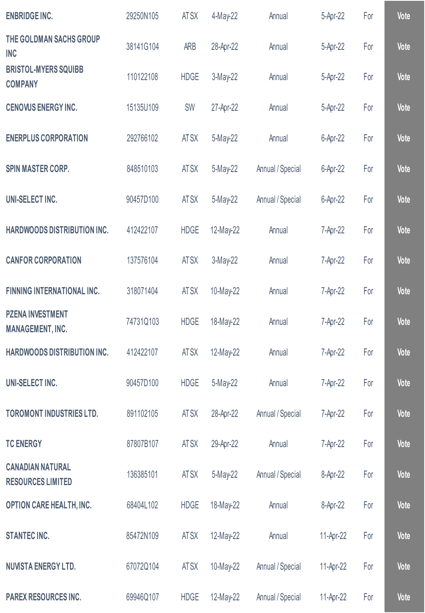| <b>ENBRIDGE INC.</b>                                | 29250N105 | AT SX       | 4-May-22  | Annual           | 5-Apr-22  | For | Vote |
|-----------------------------------------------------|-----------|-------------|-----------|------------------|-----------|-----|------|
| THE GOLDMAN SACHS GROUP<br><b>INC</b>               | 38141G104 | <b>ARB</b>  | 28-Apr-22 | Annual           | 5-Apr-22  | For | Vote |
| <b>BRISTOL-MYERS SQUIBB</b><br><b>COMPANY</b>       | 110122108 | <b>HDGE</b> | 3-May-22  | Annual           | 5-Apr-22  | For | Vote |
| <b>CENOVUS ENERGY INC.</b>                          | 15135U109 | SW          | 27-Apr-22 | Annual           | 5-Apr-22  | For | Vote |
| <b>ENERPLUS CORPORATION</b>                         | 292766102 | <b>ATSX</b> | 5-May-22  | Annual           | 6-Apr-22  | For | Vote |
| <b>SPIN MASTER CORP.</b>                            | 848510103 | AT SX       | 5-May-22  | Annual / Special | 6-Apr-22  | For | Vote |
| UNI-SELECT INC.                                     | 90457D100 | AT SX       | 5-May-22  | Annual / Special | 6-Apr-22  | For | Vote |
| <b>HARDWOODS DISTRIBUTION INC.</b>                  | 412422107 | <b>HDGE</b> | 12-May-22 | Annual           | 7-Apr-22  | For | Vote |
| <b>CANFOR CORPORATION</b>                           | 137576104 | AT SX       | 3-May-22  | Annual           | 7-Apr-22  | For | Vote |
| <b>FINNING INTERNATIONAL INC.</b>                   | 318071404 | AT SX       | 10-May-22 | Annual           | 7-Apr-22  | For | Vote |
| <b>PZENA INVESTMENT</b><br><b>MANAGEMENT, INC.</b>  | 74731Q103 | <b>HDGE</b> | 18-May-22 | Annual           | 7-Apr-22  | For | Vote |
| <b>HARDWOODS DISTRIBUTION INC.</b>                  | 412422107 | AT SX       | 12-May-22 | Annual           | 7-Apr-22  | For | Vote |
| UNI-SELECT INC.                                     | 90457D100 | <b>HDGE</b> | 5-May-22  | Annual           | 7-Apr-22  | For | Vote |
| <b>TOROMONT INDUSTRIES LTD.</b>                     | 891102105 | <b>ATSX</b> | 28-Apr-22 | Annual / Special | 7-Apr-22  | For | Vote |
| <b>TC ENERGY</b>                                    | 87807B107 | AT SX       | 29-Apr-22 | Annual           | 7-Apr-22  | For | Vote |
| <b>CANADIAN NATURAL</b><br><b>RESOURCES LIMITED</b> | 136385101 | <b>ATSX</b> | 5-May-22  | Annual / Special | 8-Apr-22  | For | Vote |
| <b>OPTION CARE HEALTH, INC.</b>                     | 68404L102 | <b>HDGE</b> | 18-May-22 | Annual           | 8-Apr-22  | For | Vote |
| <b>STANTEC INC.</b>                                 | 85472N109 | AT SX       | 12-May-22 | Annual           | 11-Apr-22 | For | Vote |
| <b>NUVISTA ENERGY LTD.</b>                          | 67072Q104 | AT SX       | 10-May-22 | Annual / Special | 11-Apr-22 | For | Vote |
| <b>PAREX RESOURCES INC.</b>                         | 69946Q107 | <b>HDGE</b> | 12-May-22 | Annual / Special | 11-Apr-22 | For | Vote |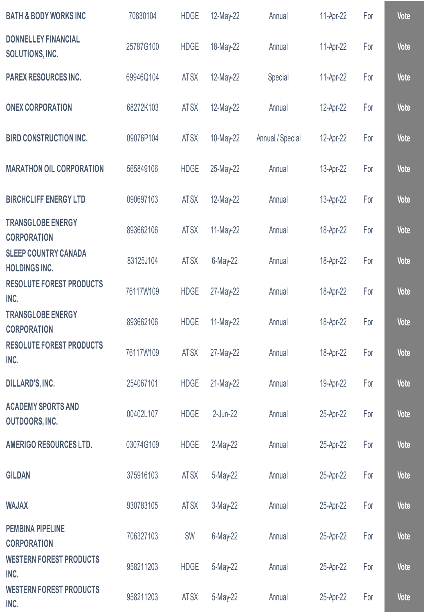| <b>BATH &amp; BODY WORKS INC</b>                    | 70830104  | <b>HDGE</b> | 12-May-22    | Annual           | 11-Apr-22 | For | <b>Vote</b> |
|-----------------------------------------------------|-----------|-------------|--------------|------------------|-----------|-----|-------------|
| <b>DONNELLEY FINANCIAL</b><br>SOLUTIONS, INC.       | 25787G100 | <b>HDGE</b> | 18-May-22    | Annual           | 11-Apr-22 | For | Vote        |
| PAREX RESOURCES INC.                                | 69946Q104 | AT SX       | 12-May-22    | Special          | 11-Apr-22 | For | Vote        |
| <b>ONEX CORPORATION</b>                             | 68272K103 | AT SX       | 12-May-22    | Annual           | 12-Apr-22 | For | Vote        |
| <b>BIRD CONSTRUCTION INC.</b>                       | 09076P104 | AT SX       | 10-May-22    | Annual / Special | 12-Apr-22 | For | Vote        |
| <b>MARATHON OIL CORPORATION</b>                     | 565849106 | <b>HDGE</b> | 25-May-22    | Annual           | 13-Apr-22 | For | Vote        |
| <b>BIRCHCLIFF ENERGY LTD</b>                        | 090697103 | AT SX       | 12-May-22    | Annual           | 13-Apr-22 | For | Vote        |
| <b>TRANSGLOBE ENERGY</b><br><b>CORPORATION</b>      | 893662106 | AT SX       | 11-May-22    | Annual           | 18-Apr-22 | For | Vote        |
| <b>SLEEP COUNTRY CANADA</b><br><b>HOLDINGS INC.</b> | 83125J104 | AT SX       | 6-May-22     | Annual           | 18-Apr-22 | For | Vote        |
| <b>RESOLUTE FOREST PRODUCTS</b><br>INC.             | 76117W109 | <b>HDGE</b> | 27-May-22    | Annual           | 18-Apr-22 | For | Vote        |
| <b>TRANSGLOBE ENERGY</b><br><b>CORPORATION</b>      | 893662106 | <b>HDGE</b> | $11$ -May-22 | Annual           | 18-Apr-22 | For | Vote        |
| <b>RESOLUTE FOREST PRODUCTS</b><br>INC.             | 76117W109 | AT SX       | 27-May-22    | Annual           | 18-Apr-22 | For | Vote        |
| DILLARD'S, INC.                                     | 254067101 | <b>HDGE</b> | 21-May-22    | Annual           | 19-Apr-22 | For | Vote        |
| <b>ACADEMY SPORTS AND</b><br>OUTDOORS, INC.         | 00402L107 | <b>HDGE</b> | 2-Jun-22     | Annual           | 25-Apr-22 | For | Vote        |
| <b>AMERIGO RESOURCES LTD.</b>                       | 03074G109 | <b>HDGE</b> | 2-May-22     | Annual           | 25-Apr-22 | For | Vote        |
| <b>GILDAN</b>                                       | 375916103 | AT SX       | 5-May-22     | Annual           | 25-Apr-22 | For | Vote        |
| <b>WAJAX</b>                                        | 930783105 | AT SX       | 3-May-22     | Annual           | 25-Apr-22 | For | Vote        |
| <b>PEMBINA PIPELINE</b><br><b>CORPORATION</b>       | 706327103 | SW          | 6-May-22     | Annual           | 25-Apr-22 | For | Vote        |
| <b>WESTERN FOREST PRODUCTS</b><br>INC.              | 958211203 | <b>HDGE</b> | 5-May-22     | Annual           | 25-Apr-22 | For | Vote        |
| <b>WESTERN FOREST PRODUCTS</b><br>INC.              | 958211203 | AT SX       | 5-May-22     | Annual           | 25-Apr-22 | For | Vote        |